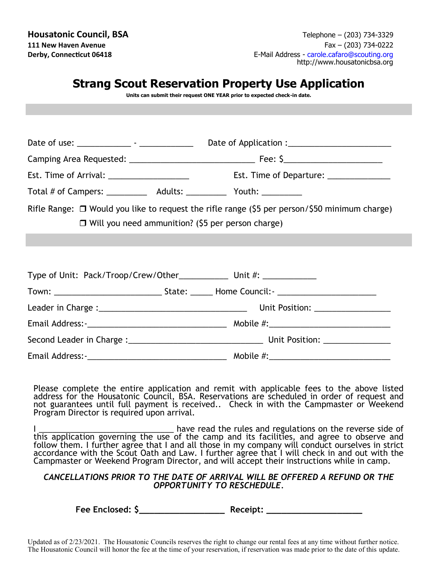|                                                                                 | <b>Strang Scout Reservation Property Use Application</b><br>Units can submit their request ONE YEAR prior to expected check-in date.                           |
|---------------------------------------------------------------------------------|----------------------------------------------------------------------------------------------------------------------------------------------------------------|
|                                                                                 |                                                                                                                                                                |
|                                                                                 |                                                                                                                                                                |
|                                                                                 |                                                                                                                                                                |
| Est. Time of Arrival: _____________________                                     | Est. Time of Departure: ______________                                                                                                                         |
| Total # of Campers: ______________ Adults: ______________ Youth: ______________ |                                                                                                                                                                |
|                                                                                 | Rifle Range: $\Box$ Would you like to request the rifle range (\$5 per person/\$50 minimum charge)<br>$\Box$ Will you need ammunition? (\$5 per person charge) |
| Type of Unit: Pack/Troop/Crew/Other____________ Unit #: ____________            |                                                                                                                                                                |
|                                                                                 |                                                                                                                                                                |
|                                                                                 |                                                                                                                                                                |
|                                                                                 |                                                                                                                                                                |
|                                                                                 |                                                                                                                                                                |
|                                                                                 |                                                                                                                                                                |

Please complete the entire application and remit with applicable fees to the above listed address for the Housatonic Council, BSA. Reservations are scheduled in order of request and not guarantees until full payment is received.. Check in with the Campmaster or Weekend Program Director is required upon arrival.

I have read the rules and regulations on the reverse side of this application governing the use of the camp and its facilities, and agree to observe and follow them. I further agree that I and all those in my company will conduct ourselves in strict accordance with the Scout Oath and Law. I further agree that I will check in and out with the Campmaster or Weekend Program Director, and will accept their instructions while in camp.

## *CANCELLATIONS PRIOR TO THE DATE OF ARRIVAL WILL BE OFFERED A REFUND OR THE OPPORTUNITY TO RESCHEDULE.*

**Fee Enclosed: \$\_\_\_\_\_\_\_\_\_\_\_\_\_\_\_\_\_ Receipt: \_\_\_\_\_\_\_\_\_\_\_\_\_\_\_\_\_\_\_**